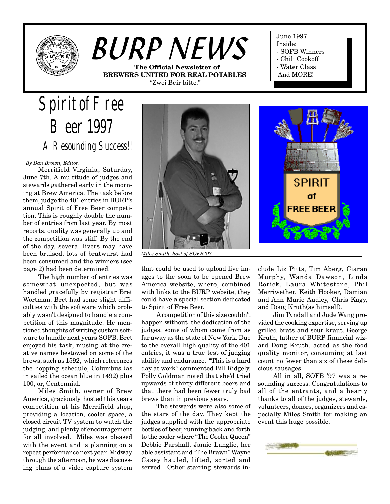

# *BURP NEWS* **The Official Newsletter of BREWERS UNITED FOR REAL POTABLES**

"Zwei Beir bitte."

June 1997 Inside: - SOFB Winners - Chili Cookoff

- Water Class
- And MORE!
- 

*Spirit of Free Beer 1997 A Resounding Success!!*

 *By Dan Brown, Editor.*

Merrifield Virginia, Saturday, June 7th. A multitude of judges and stewards gathered early in the morning at Brew America. The task before them, judge the 401 entries in BURP's annual Spirit of Free Beer competition. This is roughly double the number of entries from last year. By most reports, quality was generally up and the competition was stiff. By the end of the day, several livers may have been bruised, lots of bratwurst had been consumed and the winners (see page 2) had been determined.

The high number of entries was somewhat unexpected, but was handled gracefully by registrar Bret Wortman. Bret had some slight difficulties with the software which probably wasn't designed to handle a competition of this magnitude. He mentioned thoughts of writing custom software to handle next years SOFB. Bret enjoyed his task, musing at the creative names bestowed on some of the brews, such as 1592, which references the hopping schedule, Columbus (as in sailed the ocean blue in 1492) plus 100, or, Centennial.

Miles Smith, owner of Brew America, graciously hosted this years competition at his Merrifield shop, providing a location, cooler space, a closed circuit TV system to watch the judging, and plenty of encouragement for all involved. Miles was pleased with the event and is planning on a repeat performance next year. Midway through the afternoon, he was discussing plans of a video capture system



*Miles Smith, host of SOFB '97*

that could be used to upload live images to the soon to be opened Brew America website, where, combined with links to the BURP website, they could have a special section dedicated to Spirit of Free Beer.

A competition of this size couldn't happen without the dedication of the judges, some of whom came from as far away as the state of New York. Due to the overall high quality of the 401 entries, it was a true test of judging ability and endurance. "This is a hard day at work" commented Bill Ridgely. Polly Goldman noted that she'd tried upwards of thirty different beers and that there had been fewer truly bad brews than in previous years.

The stewards were also some of the stars of the day. They kept the judges supplied with the appropriate bottles of beer, running back and forth to the cooler where "The Cooler Queen" Debbie Parshall, Jamie Langlie, her able assistant and "The Brawn" Wayne Casey hauled, lifted, sorted and served. Other starring stewards include Liz Pitts, Tim Aberg, Ciaran Murphy, Wanda Dawson, Linda Rorick, Laura Whitestone, Phil Merriwether, Keith Hooker, Damian and Ann Marie Audley, Chris Kagy, and Doug Kruth(as himself).

Jim Tyndall and Jude Wang provided the cooking expertise, serving up grilled brats and sour kraut. George Kruth, father of BURP financial wizard Doug Kruth, acted as the food quality monitor, consuming at last count no fewer than six of these delicious sausages.

All in all, SOFB '97 was a resounding success. Congratulations to all of the entrants, and a hearty thanks to all of the judges, stewards, volunteers, donors, organizers and especially Miles Smith for making an event this huge possible.

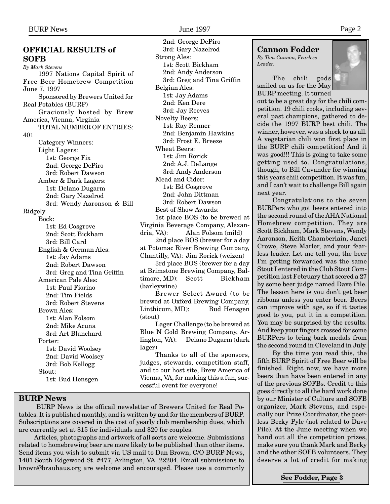# **OFFICIAL RESULTS of SOFB** *By Mark Stevens*

1997 Nations Capital Spirit of Free Beer Homebrew Competition June 7, 1997 Sponsored by Brewers United for Real Potables (BURP) Graciously hosted by Brew America, Vienna, Virginia TOTAL NUMBER OF ENTRIES: 401 Category Winners: Light Lagers: 1st: George Fix 2nd: George DePiro 3rd: Robert Dawson Amber & Dark Lagers: 1st: Delano Dugarm 2nd: Gary Nazelrod 3rd: Wendy Aaronson & Bill Ridgely Bock: 1st: Ed Cosgrove 2nd: Scott Bickham 3rd: Bill Card English & German Ales: 1st: Jay Adams 2nd: Robert Dawson 3rd: Greg and Tina Griffin American Pale Ales: 1st: Paul Fiorino 2nd: Tim Fields 3rd: Robert Stevens Brown Ales: 1st: Alan Folsom 2nd: Mike Acuna 3rd: Art Blanchard Porter: 1st: David Woolsey 2nd: David Woolsey 3rd: Bob Kellogg Stout: 1st: Bud Hensgen

**BURP News**

2nd: George DePiro 3rd: Gary Nazelrod Strong Ales: 1st: Scott Bickham 2nd: Andy Anderson 3rd: Greg and Tina Griffin Belgian Ales: 1st: Jay Adams 2nd: Ken Dere 3rd: Jay Reeves Novelty Beers: 1st: Ray Renner 2nd: Benjamin Hawkins 3rd: Frost E. Breeze Wheat Beers: 1st: Jim Rorick 2nd: A.J. DeLange 3rd: Andy Anderson Mead and Cider: 1st: Ed Cosgrove 2nd: John Dittman 3rd: Robert Dawson Best of Show Awards: 1st place BOS (to be brewed at Virginia Beverage Company, Alexandria, VA): Alan Folsom (mild) 2nd place BOS (brewer for a day at Potomac River Brewing Company, Chantilly, VA): Jim Rorick (weizen) 3rd place BOS (brewer for a day at Brimstone Brewing Company, Baltimore, MD): Scott Bickham (barleywine) Brewer Select Award (to be

brewed at Oxford Brewing Company, Linthicum, MD): Bud Hensgen (stout)

Lager Challenge (to be brewed at Blue N Gold Brewing Company, Arlington, VA): Delano Dugarm (dark lager)

Thanks to all of the sponsors, judges, stewards, competition staff, and to our host site, Brew America of Vienna, VA, for making this a fun, successful event for everyone!

 BURP News is the officail newsletter of Brewers United for Real Potables. It is published monthly, and is written by and for the members of BURP. Subscriptions are covered in the cost of yearly club membership dues, which are currently set at \$15 for individuals and \$20 for couples.

Articles, photographs and artwork of all sorts are welcome. Submissions related to homebrewing beer are more likely to be published than other items. Send items you wish to submit via US mail to Dan Brown, C/O BURP News, 1401 South Edgewood St. #477, Arlington, VA. 22204. Email submissions to brown@brauhaus.org are welcome and encouraged. Please use a commonly

# **Cannon Fodder**

*By Tom Cannon, Fearless Leader.*

The chili gods smiled on us for the May BURP meeting. It turned



out to be a great day for the chili competition. 19 chili cooks, including several past champions, gathered to decide the 1997 BURP best chili. The winner, however, was a shock to us all. A vegetarian chili won first place in the BURP chili competition! And it was good!!! This is going to take some getting used to. Congratulations, though, to Bill Cavander for winning this years chili competition. It was fun, and I can't wait to challenge Bill again next year.

Congratulations to the seven BURPers who got beers entered into the second round of the AHA National Homebrew competition. They are Scott Bickham, Mark Stevens, Wendy Aaronson, Keith Chamberlain, Janet Crowe, Steve Marler, and your fearless leader. Let me tell you, the beer I'm getting forwarded was the same Stout I entered in the Club Stout Competition last February that scored a 27 by some beer judge named Dave Pile. The lesson here is you don't get beer ribbons unless you enter beer. Beers can improve with age, so if it tastes good to you, put it in a competition. You may be surprised by the results. And keep your fingers crossed for some BURPers to bring back medals from the second round in Cleveland in July.

By the time you read this, the fifth BURP Spirit of Free Beer will be finished. Right now, we have more beers than have been entered in any of the previous SOFBs. Credit to this goes directly to all the hard work done by our Minister of Culture and SOFB organizer, Mark Stevens, and especially our Prize Coordinator, the peerless Becky Pyle (not related to Dave Pile). At the June meeting when we hand out all the competition prizes, make sure you thank Mark and Becky and the other SOFB volunteers. They deserve a lot of credit for making

**See Fodder, Page 3**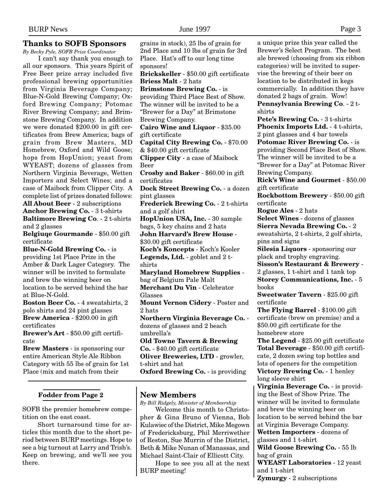#### **Thanks to SOFB Sponsors**

*By Becky Pyle, SOFB Prize Coordinator*

I can't say thank you enough to all our sponsors. This years Spirit of Free Beer prize array included five professional brewing opportunities from Virginia Beverage Company; Blue-N-Gold Brewing Company; Oxford Brewing Company; Potomac River Brewing Company; and Brimstone Brewing Company. In addition we were donated \$200.00 in gift certificates from Brew America; bags of grain from Brew Masters, MD Homebrew, Oxford and Wild Goose; hops from HopUnion; yeast from WYEAST; dozens of glasses from Northern Virginia Beverage, Wetten Importers and Select Wines; and a case of Maibock from Clipper City. A complete list of prizes donated follows: **All About Beer** - 2 subscriptions **Anchor Brewing Co.** - 3 t-shirts **Baltimore Brewing Co**. - 2 t-shirts

and 2 glasses

**Belgiuqe Gourmande** - \$50.00 gift certificate

**Blue-N-Gold Brewing Co.** - is providing 1st Place Prize in the Amber & Dark Lager Category. The winner will be invited to formulate and brew the winning beer on location to be served behind the bar at Blue-N-Gold.

**Boston Beer Co.** - 4 sweatshirts, 2 polo shirts and 24 pint glasses **Brew America** - \$200.00 in gift certificates

**Brewer's Art** - \$50.00 gift certificate

**Brew Masters** - is sponsoring our entire American Style Ale Ribbon Category with 55 lbs of grain for 1st Place (mix and match from their

#### **Fodder from Page 2**

SOFB the premier homebrew competition on the east coast.

Short turnaround time for articles this month due to the short period between BURP meetings. Hope to see a big turnout at Larry and Trish's. Keep on brewing, and we'll see you there.

grains in stock), 25 lbs of grain for 2nd Place and 10 lbs of grain for 3rd Place. Hat's off to our long time sponsors! **Brickskeller** - \$50.00 gift certificate **Briess Malt** - 2 hats **Brimstone Brewing Co.** - is providing Third Place Best of Show. The winner will be invited to be a "Brewer for a Day" at Brimstone Brewing Company. **Cairo Wine and Liquor** - \$35.00 gift certificate **Capital City Brewing Co.** - \$70.00 & \$40.00 gift certificate **Clipper City** - a case of Maibock Beer **Crosby and Baker** - \$60.00 in gift certificates **Dock Street Brewing Co.** - a dozen pint glasses **Frederick Brewing Co.** - 2 t-shirts and a golf shirt **HopUnion USA, Inc.** - 30 sample bags, 5 key chains and 2 hats **John Harvard's Brew House** - \$30.00 gift certificate **Koch's Koncepts** - Koch's Kooler **Legends, Ltd.** - goblet and 2 tshirts **Maryland Homebrew Supplies** bag of Belgium Pale Malt **Merchant Du Vin** - Celebrator Glasses **Mount Vernon Cidery** - Poster and 2 hats **Northern Virginia Beverage Co.** dozens of glasses and 2 beach umbrella's **Old Towne Tavern & Brewing Co.** - \$40.00 gift certificate **Oliver Breweries, LTD** - growler, t-shirt and hat **Oxford Brewing Co.** - is providing

## **New Members**

*By Bill Ridgely, Minister of Membeership*

Welcome this month to Christopher & Gina Bruno of Vienna, Bob Kulawiec of the District, Mike Megown of Fredericksburg, Phil Merriwether of Reston, Sue Murrin of the District, Beth & Mike Nunan of Manassas, and Michael Saint-Clair of Ellicott City.

Hope to see you all at the next BURP meeting!

a unique prize this year called the Brewer's Select Program. The best ale brewed (choosing from six ribbon categories) will be invited to supervise the brewing of their beer on location to be distributed in kegs commercially. In addition they have donated 2 bags of grain. Wow! **Pennsylvania Brewing Co**. - 2 tshirts

**Pete's Brewing Co.** - 3 t-shirts **Phoenix Imports Ltd.** - 4 t-shirts, 2 pint glasses and 4 bar towels

**Potomac River Brewing Co.** - is providing Second Place Best of Show. The winner will be invited to be a "Brewer for a Day" at Potomac River Brewing Company.

**Rick's Wine and Gourmet** - \$50.00 gift certificate

**Rockbottom Brewery** - \$50.00 gift certificate

**Rogue Ales** - 2 hats

**Select Wines** - dozens of glasses **Sierra Nevada Brewing Co.** - 2 sweatshirts, 2 t-shirts, 2 golf shirts, pins and signs

**Silesia Liquors** - sponsoring our plack and trophy engraving.

**Sisson's Restaurant & Brewery** - 2 glasses, 1 t-shirt and 1 tank top **Storey Communications, Inc.** - 5

books

**Sweetwater Tavern** - \$25.00 gift certificate

**The Flying Barrel** - \$100.00 gift certificate (brew on premise) and a \$50.00 gift certificate for the homebrew store

**The Legend** - \$25.00 gift certificate **Total Beverage** - \$50.00 gift certificate, 2 dozen swing top bottles and lots of openers for the competition **Victory Brewing Co.** - 1 henley long sleeve shirt

**Virginia Beverage Co.** - is providing the Best of Show Prize. The winner will be invited to formulate and brew the winning beer on location to be served behind the bar at Virginia Beverage Company. **Wetten Importers** - dozens of glasses and 1 t-shirt **Wild Goose Brewing Co.** - 55 lb bag of grain

**WYEAST Laboratories** - 12 yeast and 1 t-shirt **Zymurgy** - 2 subscriptions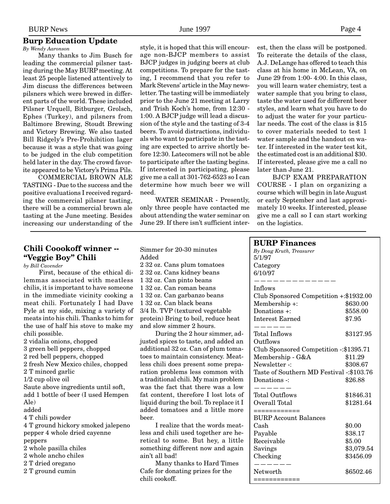#### **Burp Education Update**

*By Wendy Aaronson*

Many thanks to Jim Busch for leading the commercial pilsner tasting during the May BURP meeting. At least 25 people listened attentively to Jim discuss the differences between pilsners which were brewed in different parts of the world. These included Pilsner Urquell, Bitburger, Grolsch, Ephes (Turkey), and pilsners from Baltimore Brewing, Stoudt Brewing and Victory Brewing. We also tasted Bill Ridgely's Pre-Prohibition lager because it was a style that was going to be judged in the club competition held later in the day. The crowd favorite appeared to be Victory's Prima Pils.

COMMERCIAL BROWN ALE TASTING - Due to the success and the positive evaluations I received regarding the commercial pilsner tasting, there will be a commercial brown ale tasting at the June meeting. Besides increasing our understanding of the

style, it is hoped that this will encourage non-BJCP members to assist BJCP judges in judging beers at club competitions. To prepare for the tasting, I recommend that you refer to Mark Stevens' article in the May newsletter. The tasting will be immediately prior to the June 21 meeting at Larry and Trish Koch's home, from 12:30 - 1:00. A BJCP judge will lead a discussion of the style and the tasting of 3-4 beers. To avoid distractions, individuals who want to participate in the tasting are expected to arrive shortly before 12:30. Latecomers will not be able to participate after the tasting begins. If interested in participating, please give me a call at 301-762-6523 so I can determine how much beer we will need.

WATER SEMINAR - Presently, only three people have contacted me about attending the water seminar on June 29. If there isn't sufficient interest, then the class will be postponed. To reiterate the details of the class, A.J. DeLange has offered to teach this class at his home in McLean, VA, on June 29 from 1:00- 4:00. In this class, you will learn water chemistry, test a water sample that you bring to class, taste the water used for different beer styles, and learn what you have to do to adjust the water for your particular needs. The cost of the class is \$15 to cover materials needed to test 1 water sample and the handout on water. If interested in the water test kit, the estimated cost is an additional \$30. If interested, please give me a call no later than June 21.

BJCP EXAM PREPARATION COURSE - I plan on organizing a course which will begin in late August or early September and last approximately 10 weeks. If interested, please give me a call so I can start working on the logistics.

# **Chili Coookoff winner -- "Veggie Boy" Chili**

*by Bill Cavender*

First, because of the ethical dilemmas associated with meatless chilis, it is important to have someone in the immediate vicinity cooking a meat chili. Fortunately I had Dave Pyle at my side, mixing a variety of meats into his chili. Thanks to him for the use of half his stove to make my chili possible.

- 2 vidalia onions, chopped
- 3 green bell peppers, chopped
- 2 red bell peppers, chopped
- 2 fresh New Mexico chiles, chopped
- 2 T minced garlic
- 1/2 cup olive oil

Saute above ingredients until soft, add 1 bottle of beer (I used Hempen Ale)

- added
- 4 T chili powder

4 T ground hickory smoked jalepeno pepper 4 whole dried cayenne peppers

- 2 whole pasilla chiles
- 2 whole ancho chiles
- 2 T dried oregano
- 2 T ground cumin

Simmer for 20-30 minutes Added

2 32 oz. Cans plum tomatoes 2 32 oz. Cans kidney beans 1 32 oz. Can pinto beans 1 32 oz. Can roman beans 1 32 oz. Can garbanzo beans 1 32 oz. Can black beans 3/4 lb. TVP (textured vegetable protein) Bring to boil, reduce heat and slow simmer 2 hours. During the 2 hour simmer, ad-

justed spices to taste, and added an additional 32 oz. Can of plum tomatoes to maintain consistency. Meatless chili does present some preparation problems less common with a traditional chili. My main problem was the fact that there was a low fat content, therefore I lost lots of liquid during the boil. To replace it I added tomatoes and a little more beer.

I realize that the words meatless and chili used together are heretical to some. But hey, a little something different now and again ain't all bad!

Many thanks to Hard Times Cafe for donating prizes for the chili cookoff.

| <b>BURP Finances</b>                               |            |
|----------------------------------------------------|------------|
| By Doug Kruth, Treasurer                           |            |
| 5/1/97                                             |            |
| Category                                           |            |
| 6/10/97                                            |            |
|                                                    |            |
| Inflows<br>Club Sponsored Competition +: \$1932.00 |            |
| Membership +:                                      | \$630.00   |
| Donations +:                                       | \$558.00   |
| <b>Interest Earned</b>                             | \$7.95     |
|                                                    |            |
| <b>Total Inflows</b>                               | \$3127.95  |
| Outflows                                           |            |
| Club Sponsored Competition -: \$1395.71            |            |
| Membership - G&A                                   | \$11.29    |
| Newsletter-:                                       | \$308.67   |
| Taste of Southern MD Festival -: \$103.76          |            |
| Donations -:                                       | \$26.88    |
|                                                    |            |
| <b>Total Outflows</b>                              | \$1846.31  |
| Overall Total                                      | \$1281.64  |
| ============                                       |            |
| <b>BURP Account Balances</b>                       |            |
| Cash                                               | \$0.00     |
| Payable                                            | \$38.17    |
| Receivable                                         | \$5.00     |
| Savings                                            | \$3,079.54 |
| Checking                                           | \$3456.09  |
| Networth                                           | \$6502.46  |
| :===========                                       |            |
|                                                    |            |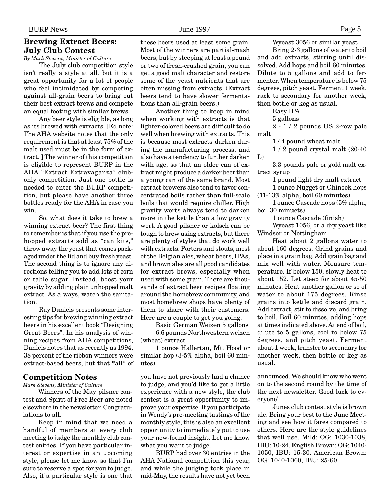# **Brewing Extract Beers: July Club Contest**

*By Mark Stevens, Minister of Culture*

The July club competition style isn't really a style at all, but it is a great opportunity for a lot of people who feel intimidated by competing against all-grain beers to bring out their best extract brews and compete an equal footing with similar brews.

Any beer style is eligible, as long as its brewed with extracts. [Ed note: The AHA website notes that the only requirement is that at least 75% of the malt used must be in the form of extract. ] The winner of this competition is eligible to represent BURP in the AHA "Extract Extravaganza" clubonly competition. Just one bottle is needed to enter the BURP competition, but please have another three bottles ready for the AHA in case you win.

So, what does it take to brew a winning extract beer? The first thing to remember is that if you use the prehopped extracts sold as "can kits," throw away the yeast that comes packaged under the lid and buy fresh yeast. The second thing is to ignore any directions telling you to add lots of corn or table sugar. Instead, boost your gravity by adding plain unhopped malt extract. As always, watch the sanitation.

Ray Daniels presents some interesting tips for brewing winning extract beers in his excellent book "Designing Great Beers". In his analysis of winning recipes from AHA competitions, Daniels notes that as recently as 1994, 38 percent of the ribbon winners were extract-based beers, but that \*all\* of

#### **Competition Notes**

*Mark Stevens, Minister of Culture*

Winners of the May pilsner contest and Spirit of Free Beer are noted elsewhere in the newsletter. Congratulations to all.

Keep in mind that we need a handful of members at every club meeting to judge the monthly club contest entries. If you have particular interest or expertise in an upcoming style, please let me know so that I'm sure to reserve a spot for you to judge. Also, if a particular style is one that these beers used at least some grain. Most of the winners are partial-mash beers, but by steeping at least a pound or two of fresh-crushed grain, you can get a good malt character and restore some of the yeast nutrients that are often missing from extracts. (Extract beers tend to have slower fermentations than all-grain beers.)

Another thing to keep in mind when working with extracts is that lighter-colored beers are difficult to do well when brewing with extracts. This is because most extracts darken during the manufacturing process, and also have a tendency to further darken with age, so that an older can of extract might produce a darker beer than a young can of the same brand. Most extract brewers also tend to favor concentrated boils rather than full-scale boils that would require chiller. High gravity worts always tend to darken more in the kettle than a low gravity wort. A good pilsner or kolsch can be tough to brew using extracts, but there are plenty of styles that do work well with extracts. Porters and stouts, most of the Belgian ales, wheat beers, IPAs, and brown ales are all good candidates for extract brews, especially when used with some grain. There are thousands of extract beer recipes floating around the homebrew community, and most homebrew shops have plenty of them to share with their customers. Here are a couple to get you going.

Basic German Weizen 5 gallons 6.6 pounds Northwestern weizen (wheat) extract

1 ounce Hallertau, Mt. Hood or similar hop (3-5% alpha, boil 60 minutes)

you have not previously had a chance to judge, and you'd like to get a little experience with a new style, the club contest is a great opportunity to improve your expertise. If you participate in Wendy's pre-meeting tastings of the monthly style, this is also an excellent opportunity to immediately put to use your new-found insight. Let me know what you want to judge.

BURP had over 30 entries in the AHA National competition this year, and while the judging took place in mid-May, the results have not yet been Wyeast 3056 or similar yeast

Bring 2-3 gallons of water to boil and add extracts, stirring until dissolved. Add hops and boil 60 minutes. Dilute to 5 gallons and add to fermenter. When temperature is below 75 degrees, pitch yeast. Ferment 1 week, rack to secondary for another week, then bottle or keg as usual.

Easy IPA

5 gallons

2 - 1 / 2 pounds US 2-row pale malt

1 / 4 pound wheat malt

1 / 2 pound crystal malt (20-40 L)

3.3 pounds pale or gold malt extract syrup

1 pound light dry malt extract

1 ounce Nugget or Chinook hops

(11-13% alpha, boil 60 minutes)

1 ounce Cascade hops (5% alpha, boil 30 minuets)

1 ounce Cascade (finish)

Wyeast 1056, or a dry yeast like Windsor or Nottingham

Heat about 2 gallons water to about 160 degrees. Grind grains and place in a grain bag. Add grain bag and mix well with water. Measure temperature. If below 150, slowly heat to about 152. Let steep for about 45-50 minutes. Heat another gallon or so of water to about 175 degrees. Rinse grains into kettle and discard grain. Add extract, stir to dissolve, and bring to boil. Boil 60 minutes, adding hops at times indicated above. At end of boil, dilute to 5 gallons, cool to below 75 degrees, and pitch yeast. Ferment about 1 week, transfer to secondary for another week, then bottle or keg as usual.

announced. We should know who went on to the second round by the time of the next newsletter. Good luck to everyone!

Junes club contest style is brown ale. Bring your best to the June Meeting and see how it fares compared to others. Here are the style guidelines that well use. Mild: OG: 1030-1038, IBU: 10-24. English Brown: OG: 1040- 1050, IBU: 15-30. American Brown: OG: 1040-1060, IBU: 25-60.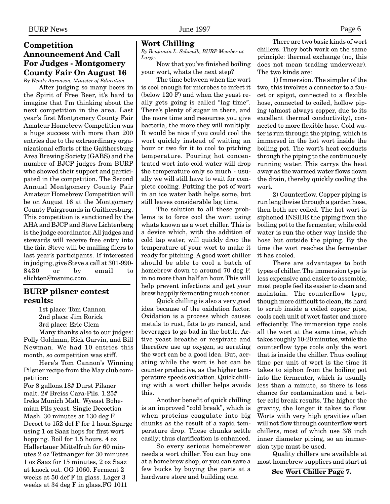## **Competition Announcement And Call For Judges - Montgomery County Fair On August 16** *By Wendy Aaronson, Minister of Education*

After judging so many beers in the Spirit of Free Beer, it's hard to imagine that I'm thinking about the next competition in the area. Last year's first Montgomery County Fair Amateur Homebrew Competition was a huge success with more than 200 entries due to the extraordinary organizational efforts of the Gaithersburg Area Brewing Society (GABS) and the number of BJCP judges from BURP who showed their support and participated in the competition. The Second Annual Montgomery County Fair Amateur Homebrew Competition will be on August 16 at the Montgomery County Fairgrounds in Gaithersburg. This competition is sanctioned by the AHA and BJCP and Steve Lichtenberg is the judge coordinator. All judges and stewards will receive free entry into the fair. Steve will be mailing fliers to last year's participants. If interested in judging, give Steve a call at 301-990- 8430 or by email to slichten@msninc.com.

## **BURP pilsner contest results:**

1st place: Tom Cannon 2nd place: Jim Rorick 3rd place: Eric Clem

Many thanks also to our judges: Polly Goldman, Rick Garvin, and Bill Newman. We had 10 entries this month, so competition was stiff.

Here's Tom Cannon's Winning Pilsner recipe from the May club competition:

For 8 gallons.18# Durst Pilsner malt. 2# Breiss Cara-Pils. 1.25# Ireks Munich Malt. Wyeast Bohemian Pils yeast. Single Decoction Mash. 30 minutes at 130 deg F. Decoct to 152 def F for 1 hour.Sparge using 1 oz Saaz hops for first wort hopping. Boil for 1.5 hours. 4 oz Hallertauer Mittelfruh for 60 minutes 2 oz Tettnanger for 30 minutes 1 oz Saaz for 15 minutes, 2 oz Saaz at knock out. OG 1060. Ferment 2 weeks at 50 def F in glass. Lager 3 weeks at 34 deg F in glass.FG 1011

#### **Wort Chilling**

*By Benjamin L. Schwalb, BURP Member at Large.*

Now that you've finished boiling your wort, whats the next step?

The time between when the wort is cool enough for microbes to infect it (below 120 F) and when the yeast really gets going is called "lag time". There's plenty of sugar in there, and the more time and resources you give bacteria, the more they will multiply. It would be nice if you could cool the wort quickly instead of waiting an hour or two for it to cool to pitching temperature. Pouring hot concentrated wort into cold water will drop the temperature only so much - usually we will still have to wait for complete cooling. Putting the pot of wort in an ice water bath helps some, but still leaves considerable lag time.

The solution to all these problems is to force cool the wort using whats known as a wort chiller. This is a device which, with the addition of cold tap water, will quickly drop the temperature of your wort to make it ready for pitching. A good wort chiller should be able to cool a batch of homebrew down to around 70 deg F. in no more than half an hour. This will help prevent infections and get your brew happily fermenting much sooner.

Quick chilling is also a very good idea because of the oxidation factor. Oxidation is a process which causes metals to rust, fats to go rancid, and beverages to go bad in the bottle. Active yeast breathe or respirate and therefore use up oxygen, so aerating the wort can be a good idea. But, aerating while the wort is hot can be counter productive, as the higher temperature speeds oxidation. Quick chilling with a wort chiller helps avoids this.

Another benefit of quick chilling is an improved "cold break", which is when proteins coagulate into big chunks as the result of a rapid temperature drop. These chunks settle easily; thus clarification is enhanced.

So every serious homebrewer needs a wort chiller. You can buy one at a homebrew shop, or you can save a few bucks by buying the parts at a hardware store and building one.

There are two basic kinds of wort chillers. They both work on the same principle: thermal exchange (no, this does not mean trading underwear). The two kinds are:

1) Immersion. The simpler of the two, this involves a connector to a faucet or spigot, connected to a flexible hose, connected to coiled, hollow piping (almost always copper, due to its excellent thermal conductivity), connected to more flexible hose. Cold water is run through the piping, which is immersed in the hot wort inside the boiling pot. The wort's heat conducts through the piping to the continuously running water. This carrys the heat away as the warmed water flows down the drain, thereby quickly cooling the wort.

2) Counterflow. Copper piping is run lengthwise through a garden hose, then both are coiled. The hot wort is siphoned INSIDE the piping from the boiling pot to the fermenter, while cold water is run the other way inside the hose but outside the piping. By the time the wort reaches the fermenter it has cooled.

There are advantages to both types of chiller. The immersion type is less expensive and easier to assemble, most people feel its easier to clean and maintain. The counterflow type, though more difficult to clean, its hard to scrub inside a coiled copper pipe, cools each unit of wort faster and more effeciently. The immersion type cools all the wort at the same time, which takes roughly 10-20 minutes, while the counterflow type cools only the wort that is inside the chiller. Thus cooling time per unit of wort is the time it takes to siphon from the boiling pot into the fermenter, which is usually less than a minute, so there is less chance for contamination and a better cold break results. The higher the gravity, the longer it takes to flow. Worts with very high gravities often will not flow through counterflow wort chillers, most of which use 3/8 inch inner diameter piping, so an immersion type must be used.

Quality chillers are available at most homebrew suppliers and start at

**See Wort Chiller Page 7.**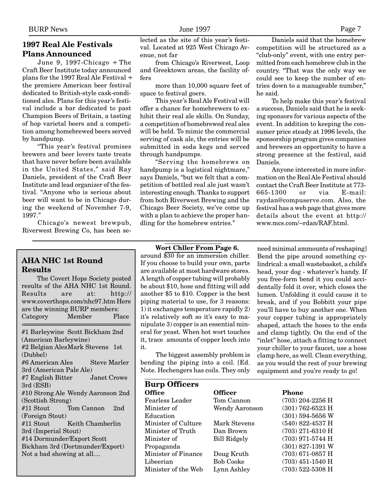# **1997 Real Ale Festivals Plans Announced**

June 9, 1997-Chicago ÷ The Craft Beer Institute today announced plans for the 1997 Real Ale Festival ÷ the premiere American beer festival dedicated to British-style cask-conditioned ales. Plans for this year's festival include a bar dedicated to past Champion Beers of Britain, a tasting of hop varietal beers and a competition among homebrewed beers served by handpump.

"This year's festival promises brewers and beer lovers taste treats that have never before been available in the United States," said Ray Daniels, president of the Craft Beer Institute and lead organizer of the festival. "Anyone who is serious about beer will want to be in Chicago during the weekend of November 7-9, 1997."

Chicago's newest brewpub, Riverwest Brewing Co, has been se-

# **AHA NHC 1st Round Results**

The Covert Hops Society posted results of the AHA NHC 1st Round. Results are at: http:// www.coverthops.com/nhc97.htm Here are the winning BURP members: Category Member Place =================================================== #1 Barleywine Scott Bickham 2nd (American Barleywine) #2 Belgian AlesMark Stevens 1st (Dubbel) #6 American Ales Steve Marler 3rd (American Pale Ale) #7 English Bitter Janet Crowe 3rd (ESB) #10 Strong Ale Wendy Aaronson 2nd (Scottish Strong) #11 Stout Tom Cannon 2nd (Foreign Stout) #11 Stout Keith Chamberlin 3rd (Imperial Stout) #14 Dormunder/Export Scott Bickham 3rd (Dortmunder/Export) Not a bad showing at all....

lected as the site of this year's festival. Located at 925 West Chicago Avenue, not far

from Chicago's Riverwest, Loop and Greektown areas, the facility offers

more than 10,000 square feet of space to festival goers.

This year's Real Ale Festival will offer a chance for homebrewers to exhibit their real ale skills. On Sunday, a competition of homebrewed real ales will be held. To mimic the commercial serving of cask ale, the entries will be submitted in soda kegs and served through handpumps.

"Serving the homebrews on handpump is a logistical nightmare," says Daniels, "but we felt that a competition of bottled real ale just wasn't interesting enough. Thanks to support from both Riverwest Brewing and the Chicago Beer Society, we've come up with a plan to achieve the proper handling for the homebrew entries."

Daniels said that the homebrew competition will be structured as a "club-only" event, with one entry permitted from each homebrew club in the country. "That was the only way we could see to keep the number of entries down to a manageable number," he said.

To help make this year's festival a success, Daniels said that he is seeking sponsors for various aspects of the event. In addition to keeping the consumer price steady at 1996 levels, the sponsorship program gives companies and brewers an opportunity to have a strong presence at the festival, said Daniels.

Anyone interested in more information on the Real Ale Festival should contact the Craft Beer Institute at 773-<br>665-1300 or via E-mail: 665-1300 or via raydan@compuserve.com. Also, the festival has a web page that gives more details about the event at http:// www.mcs.com/~rdan/RAF.html.

#### **Wort Chller From Page 6.**

around \$30 for an immersion chiller. If you choose to build your own, parts are available at most hardware stores. A length of copper tubing will probably be about \$10, hose and fitting will add another \$5 to \$10. Copper is the best piping material to use, for 3 reasons: 1) it exchanges temperature rapidly 2) it's relatively soft so it's easy to manipulate 3) copper is an essential mineral for yeast. When hot wort touches it, trace amounts of copper leech into it.

The biggest assembly problem is bending the piping into a coil. [Ed. Note. Hechengers has coils. They only need minimal ammounts of reshaping] Bend the pipe around something cylindrical: a small wastebasket, a child's head, your dog - whatever's handy. If you free-form bend it you could accidentally fold it over, which closes the lumen. Unfolding it could cause it to break, and if you Bobbitt your pipe you'll have to buy another one. When your copper tubing is appropriately shaped, attach the hoses to the ends and clamp tightly. On the end of the "inlet" hose, attach a fitting to connect your chiller to your faucet, use a hose clamp here, as well. Clean everything, as you would the rest of your brewing equipment and you're ready to go!

| <b>Burp Officers</b>   |                     |                    |  |  |
|------------------------|---------------------|--------------------|--|--|
| <b>Office</b>          | <b>Officer</b>      | Phone              |  |  |
| <b>Fearless Leader</b> | Tom Cannon          | $(703)$ 204-2256 H |  |  |
| Minister of            | Wendy Aaronson      | $(301)$ 762-6523 H |  |  |
| Education              |                     | $(301)$ 594-5656 W |  |  |
| Minister of Culture    | Mark Stevens        | $(540)$ 822-4537 H |  |  |
| Minister of Truth      | Dan Brown           | $(703)$ 271-6310 H |  |  |
| Minister of            | <b>Bill Ridgely</b> | (703) 971-5744 H   |  |  |
| Propaganda             |                     | $(301)$ 827-1391 W |  |  |
| Minister of Finance    | Doug Kruth          | $(703)$ 671-0857 H |  |  |
| Libeerian              | <b>Bob Cooke</b>    | $(703)$ 451-1540 H |  |  |
| Minister of the Web    | Lynn Ashley         | $(703)$ 522-5308 H |  |  |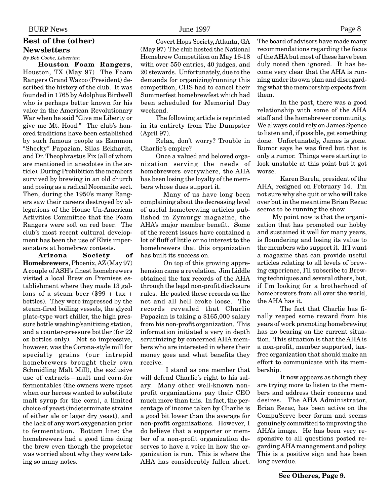# **Best of the (other) Newsletters**

*By Bob Cooke, Libeerian*

**Houston Foam Rangers**, Houston, TX (May 97) The Foam Rangers Grand Wazoo (President) described the history of the club. It was founded in 1765 by Adolphus Birdwell who is perhaps better known for his valor in the American Revolutionary War when he said "Give me Liberty or give me Mt. Hood." The club's honored traditions have been established by such famous people as Eammon "Shecky" Papazian, Silas Eckhardt, and Dr. Theophrastus Fix (all of whom are mentioned in anecdotes in the article). During Prohibition the members survived by brewing in an old church and posing as a radical Noonanite sect. Then, during the 1950's many Rangers saw their careers destroyed by allegations of the House Un-American Activities Committee that the Foam Rangers were soft on red beer. The club's most recent cultural development has been the use of Elvis impersonators at homebrew contests.

**Arizona Society of Homebrewers**, Phoenix, AZ (May 97) A couple of ASH's finest homebrewers visited a local Brew on Premises establishment where they made 13 gallons of a steam beer  $(\$99 + tax +$ bottles). They were impressed by the steam-fired boiling vessels, the glycol plate-type wort chiller, the high pressure bottle washing/sanitizing station, and a counter-pressure bottler (for 22 oz bottles only). Not so impressive, however, was the Corona-style mill for specialty grains (our intrepid homebrewers brought their own Schmidling Malt Mill), the exclusive use of extracts—malt and corn-for fermentables (the owners were upset when our heroes wanted to substitute malt syrup for the corn), a limited choice of yeast (indeterminate strains of either ale or lager dry yeast), and the lack of any wort oxygenation prior to fermentation. Bottom line: the homebrewers had a good time doing the brew even though the proprietor was worried about why they were taking so many notes.

Covert Hops Society, Atlanta, GA (May 97) The club hosted the National Homebrew Competition on May 16-18 with over 550 entries, 40 judges, and 20 stewards. Unfortunately, due to the demands for organizing/running this competition, CHS had to cancel their Summerfest homebrewfest which had been scheduled for Memorial Day weekend.

The following article is reprinted in its entirety from The Dumpster (April 97).

Relax, don't worry? Trouble in Charlie's empire?

Once a valued and beloved organization serving the needs of homebrewers everywhere, the AHA has been losing the loyalty of the members whose dues support it.

Many of us have long been complaining about the decreasing level of useful homebrewing articles published in Zymurgy magazine, the AHA's major member benefit. Some of the recent issues have contained a lot of fluff of little or no interest to the homebrewers that this organization has built its success on.

On top of this growing apprehension came a revelation. Jim Liddle obtained the tax records of the AHA through the legal non-profit disclosure rules. He posted these records on the net and all hell broke loose. The records revealed that Charlie Papazian is taking a \$165,000 salary from his non-profit organization. This information initiated a very in depth scrutinizing by concerned AHA members who are interested in where their money goes and what benefits they receive.

 I stand as one member that will defend Charlie's right to his salary. Many other well-known nonprofit organizations pay their CEO much more than this. In fact, the percentage of income taken by Charlie is a good bit lower than the average for non-profit organizations. However, I do believe that a supporter or member of a non-profit organization deserves to have a voice in how the organization is run. This is where the AHA has considerably fallen short. The board of advisors have made many recommendations regarding the focus of the AHA but most of these have been duly noted then ignored. It has become very clear that the AHA is running under its own plan and disregarding what the membership expects from them.

In the past, there was a good relationship with some of the AHA staff and the homebrewer community. We always could rely on James Spence to listen and, if possible, get something done. Unfortunately, James is gone. Rumor says he was fired but that is only a rumor. Things were starting to look unstable at this point but it got worse.

Karen Barela, president of the AHA, resigned on February 14. I'm not sure why she quit or who will take over but in the meantime Brian Rezac seems to be running the show.

My point now is that the organization that has promoted our hobby and sustained it well for many years, is floundering and losing its value to the members who support it. If I want a magazine that can provide useful articles relating to all levels of brewing experience, I'll subscribe to Brewing techniques and several others, but, if I'm looking for a brotherhood of homebrewers from all over the world, the AHA has it.

The fact that Charlie has finally reaped some reward from his years of work promoting homebrewing has no bearing on the current situation. This situation is that the AHA is a non-profit, member supported, taxfree organization that should make an effort to communicate with its membership.

It now appears as though they are trying more to listen to the members and address their concerns and desires. The AHA Administrator, Brian Rezac, has been active on the CompuServe beer forum and seems genuinely committed to improving the AHA's image. He has been very responsive to all questions posted regarding AHA management and policy. This is a positive sign and has been long overdue.